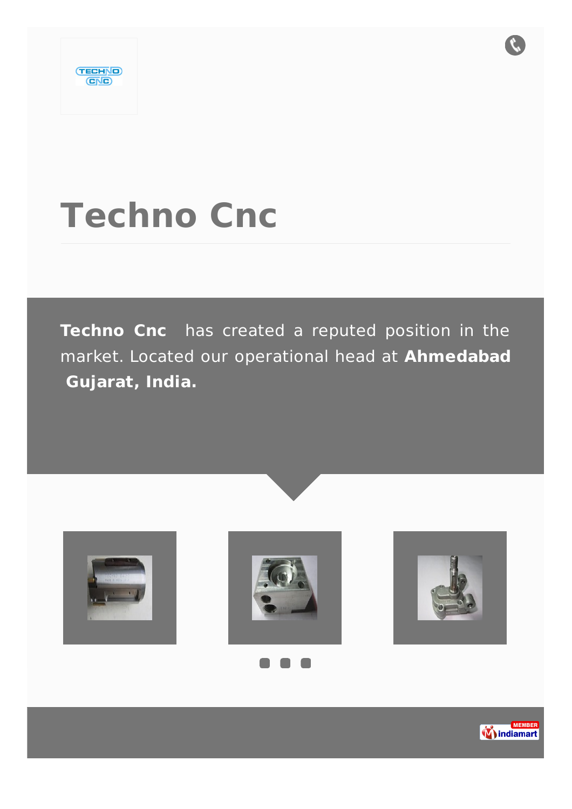

# **Techno Cnc**

**Techno Cnc** has created a reputed position in the market. Located our operational head at **Ahmedabad Gujarat, India.**









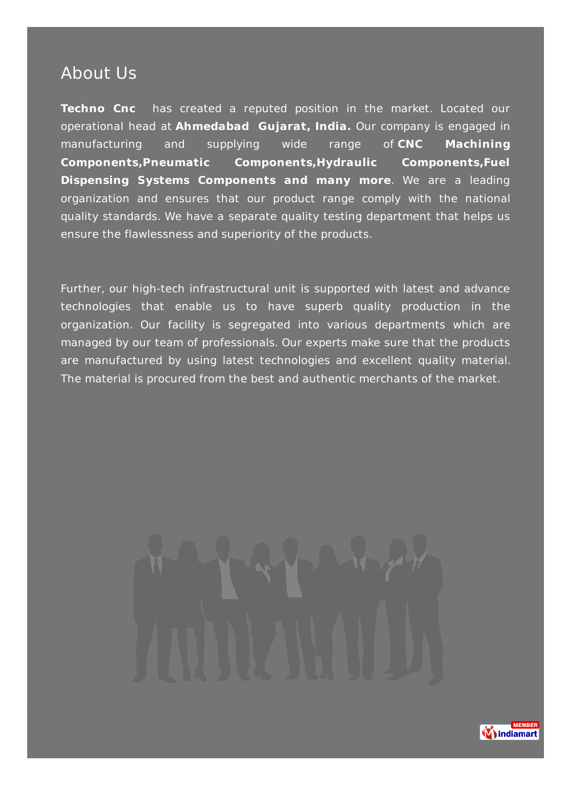### About Us

**Techno Cnc** has created a reputed position in the market. Located our operational head at **Ahmedabad Gujarat, India.** Our company is engaged in manufacturing and supplying wide range of **CNC Machining Components,Pneumatic Components,Hydraulic Components,Fuel Dispensing Systems Components and many more**. We are a leading organization and ensures that our product range comply with the national quality standards. We have a separate quality testing department that helps us ensure the flawlessness and superiority of the products.

Further, our high-tech infrastructural unit is supported with latest and advance technologies that enable us to have superb quality production in the organization. Our facility is segregated into various departments which are managed by our team of professionals. Our experts make sure that the products are manufactured by using latest technologies and excellent quality material. The material is procured from the best and authentic merchants of the market.

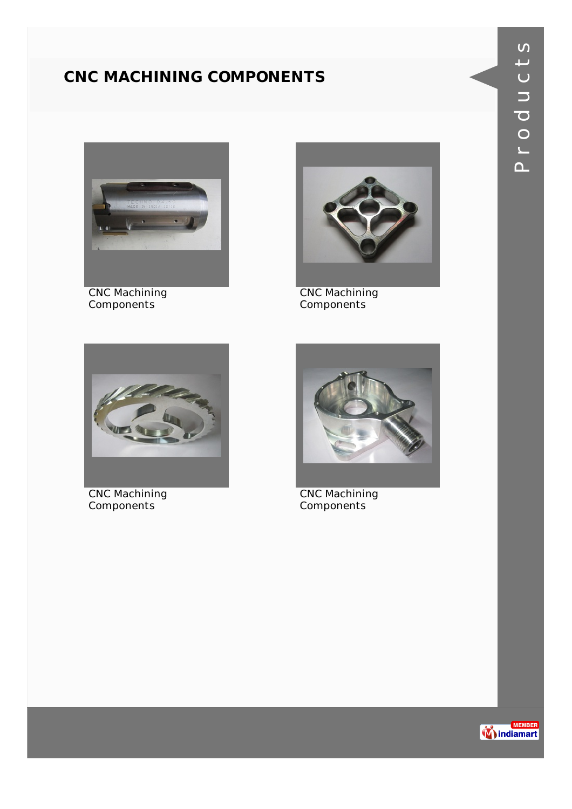#### **CNC MACHINING COMPONENTS**



CNC Machining Components



CNC Machining Components



CNC Machining Components



CNC Machining Components

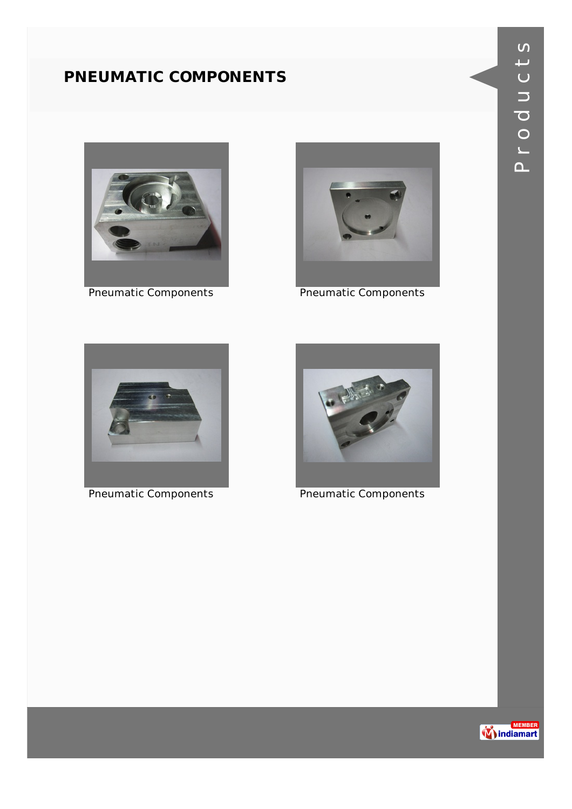#### **PNEUMATIC COMPONENTS**





Pneumatic Components **Pneumatic Components** 



Pneumatic Components **Pneumatic Components** 



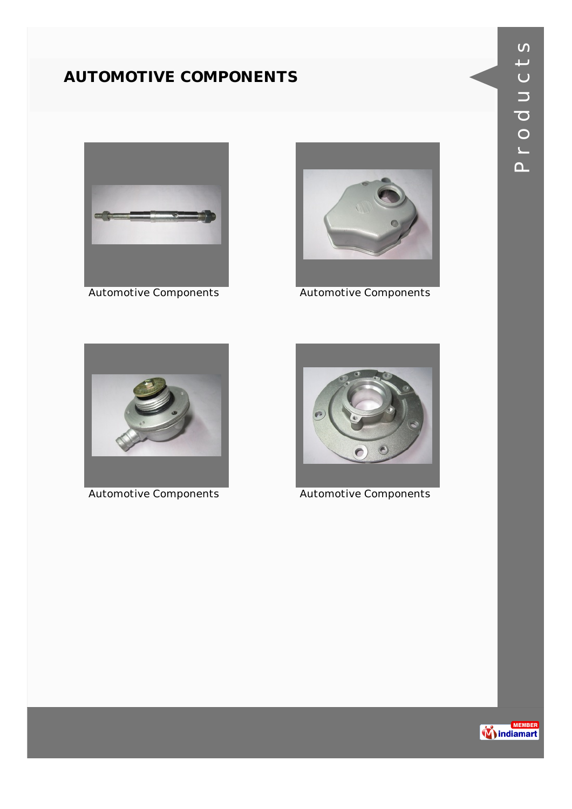#### **AUTOMOTIVE COMPONENTS**





Automotive Components **Automotive Components** 





Automotive Components **Automotive Components** 

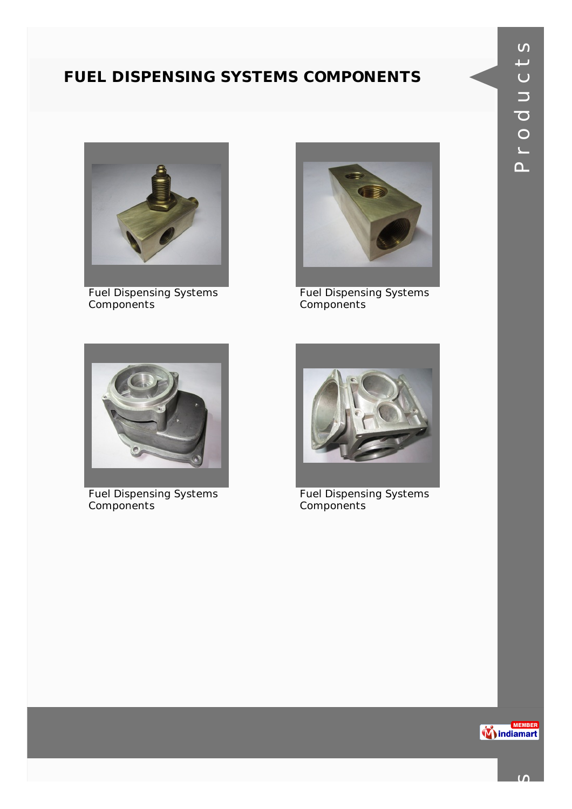#### **FUEL DISPENSING SYSTEMS COMPONENTS**



Fuel Dispensing Systems Components



Fuel Dispensing Systems Components



Fuel Dispensing Systems Components



Fuel Dispensing Systems Components

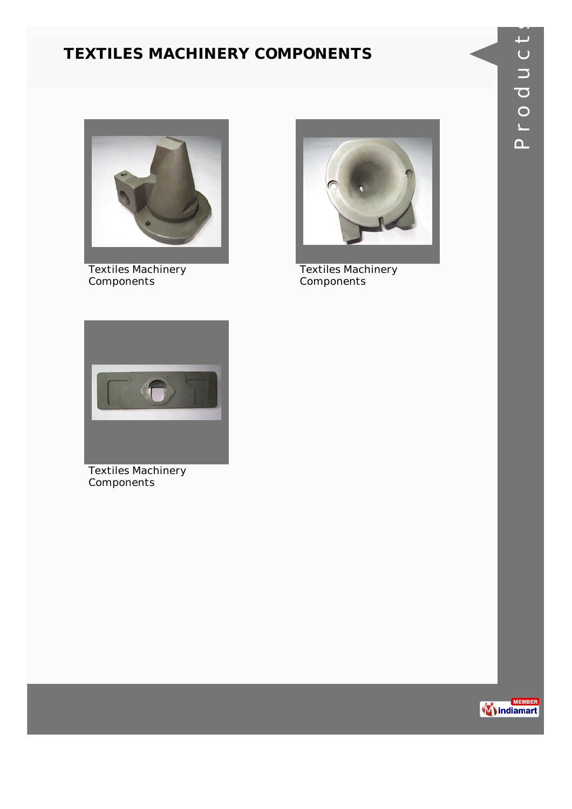#### **TEXTILES MACHINERY COMPONENTS**



Textiles Machinery **Components** 



Textiles Machinery **Components** 



Textiles Machinery Components

s

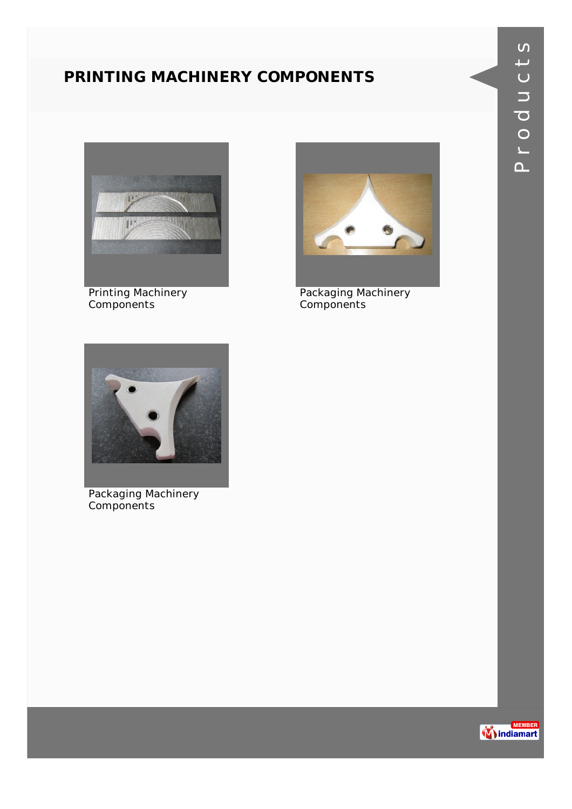#### **PRINTING MACHINERY COMPONENTS**



Printing Machinery Components



Packaging Machinery Components



Packaging Machinery Components

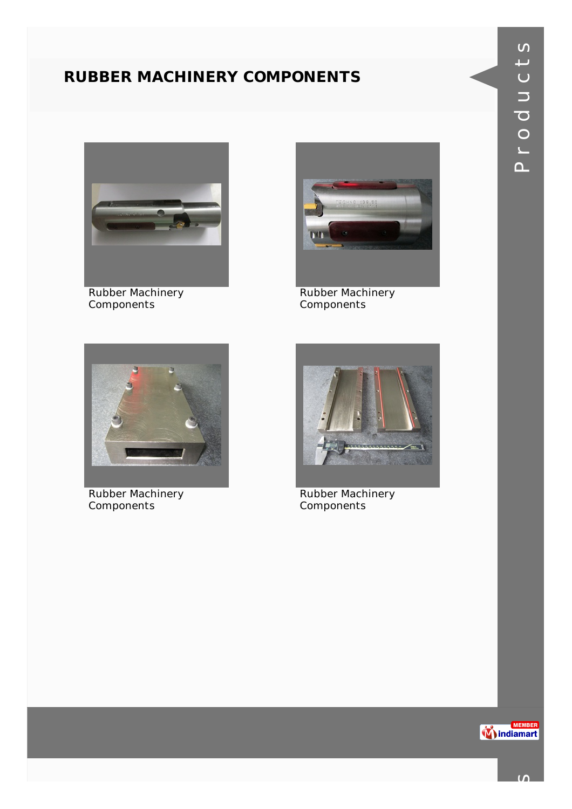#### **RUBBER MACHINERY COMPONENTS**



Rubber Machinery Components



Rubber Machinery Components



Rubber Machinery Components



Rubber Machinery Components

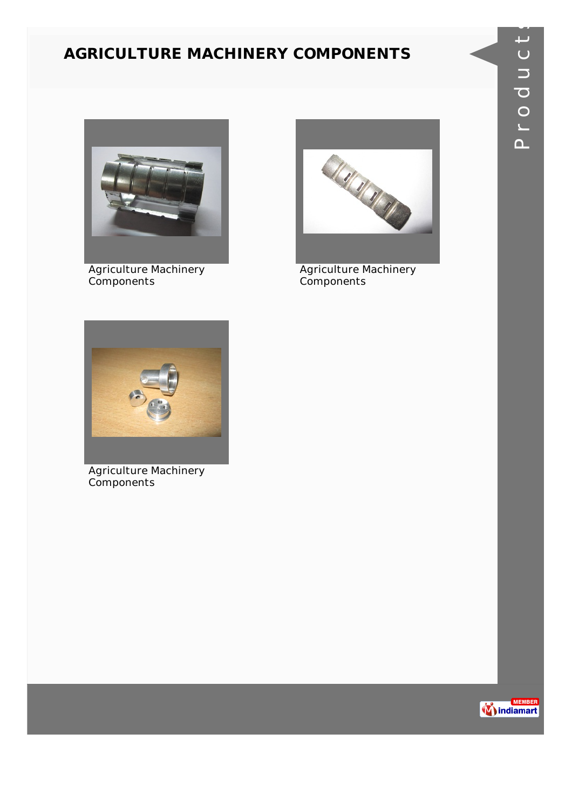#### **AGRICULTURE MACHINERY COMPONENTS**



Agriculture Machinery Components



Agriculture Machinery Components



Agriculture Machinery Components

s

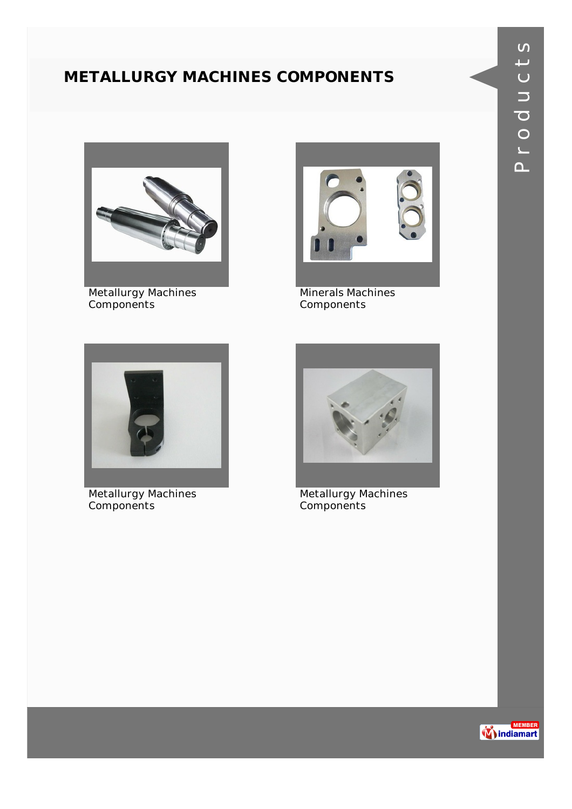#### **METALLURGY MACHINES COMPONENTS**



Metallurgy Machines Components



Minerals Machines Components



Metallurgy Machines Components



Metallurgy Machines Components

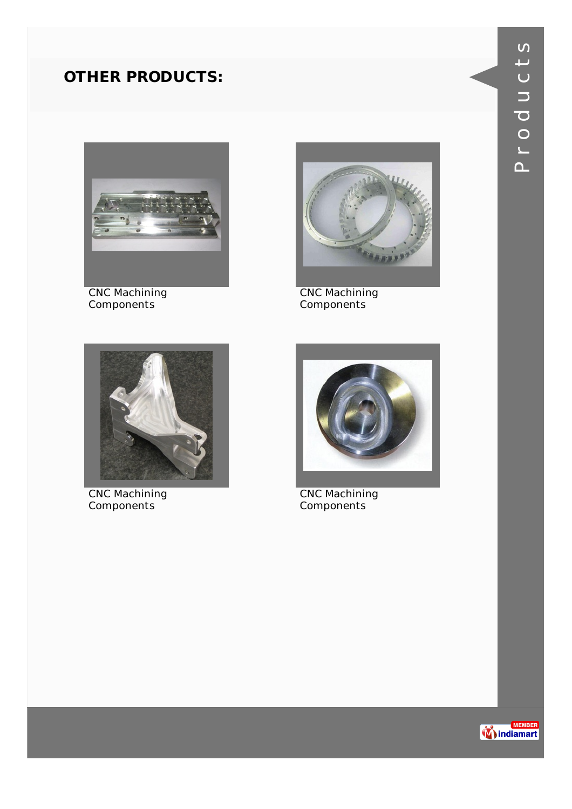

CNC Machining Components



CNC Machining Components



CNC Machining Components



CNC Machining Components

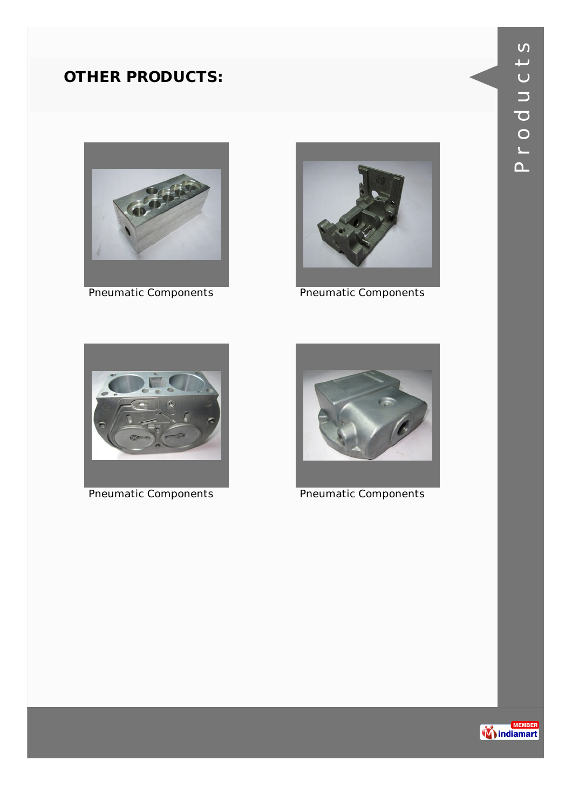



Pneumatic Components **Pneumatic Components** 





Pneumatic Components **Pneumatic Components** 

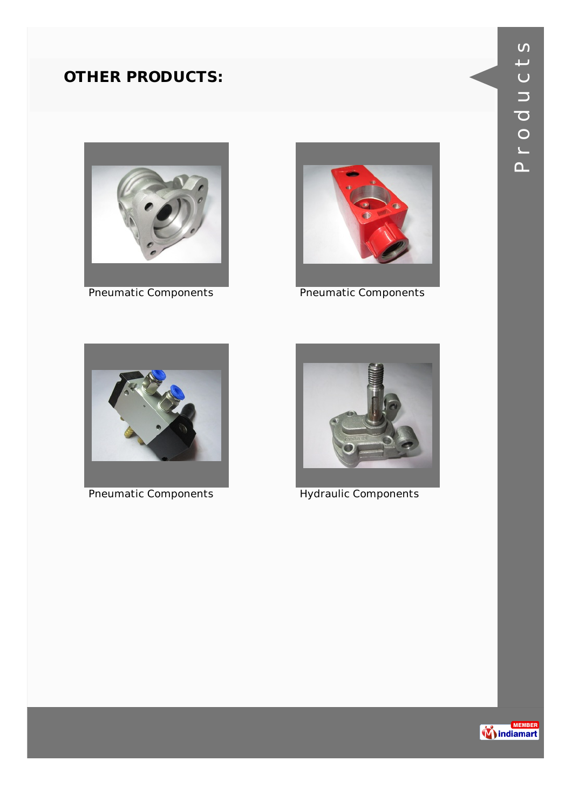



Pneumatic Components **Pneumatic Components** 





Pneumatic Components **Hydraulic Components** 

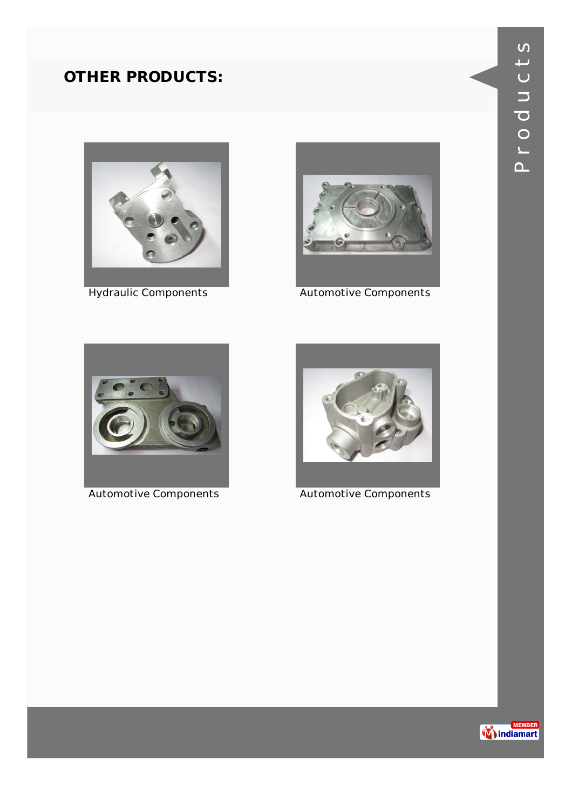



Hydraulic Components **Automotive Components** 





Automotive Components **Automotive Components** 

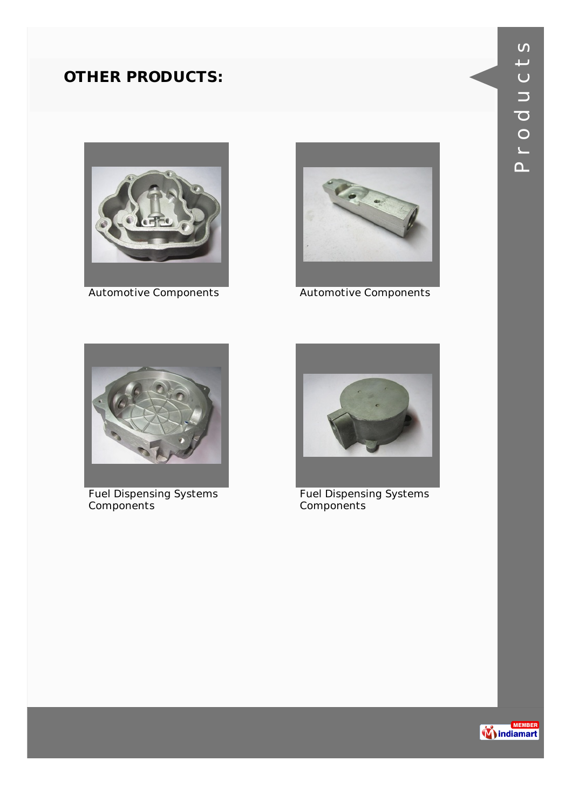



Automotive Components **Automotive Components** 



Fuel Dispensing Systems Components



Fuel Dispensing Systems Components

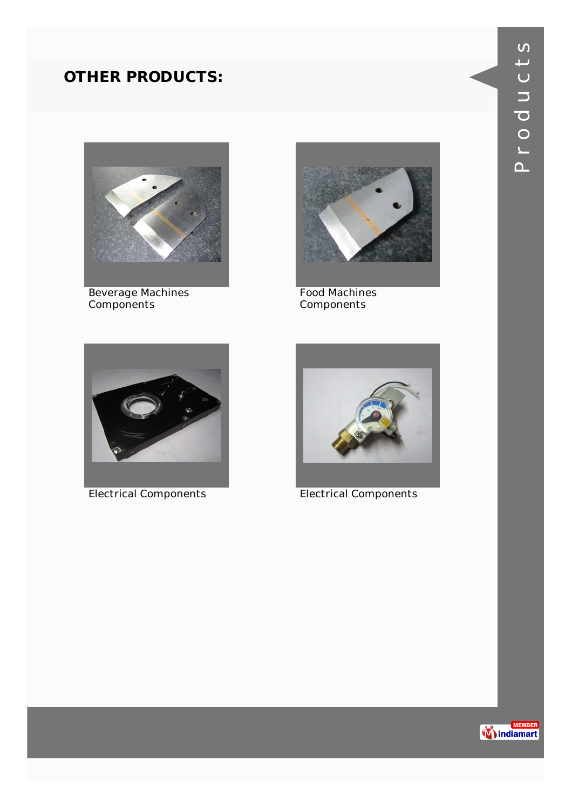

Beverage Machines Components



Food Machines Components



Electrical Components Electrical Components



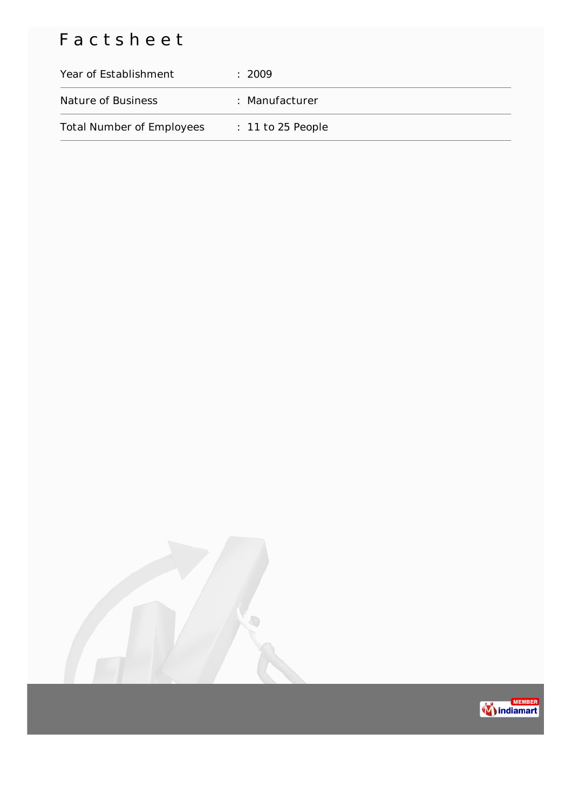## Factsheet

| Year of Establishment            | : 2009              |
|----------------------------------|---------------------|
| Nature of Business               | : Manufacturer      |
| <b>Total Number of Employees</b> | $: 11$ to 25 People |